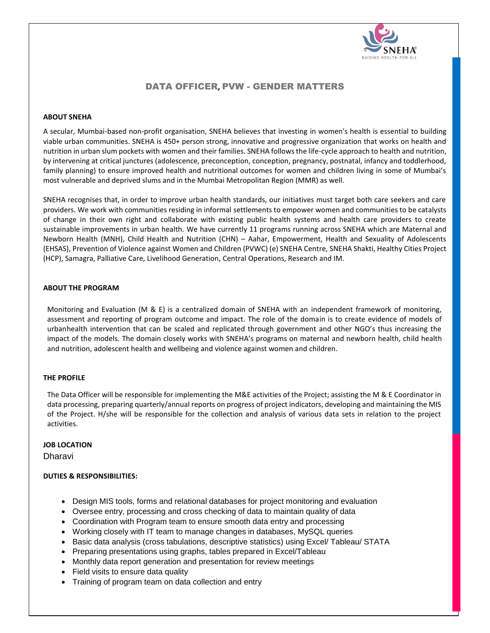

# DATA OFFICER**,** PVW - GENDER MATTERS

## **ABOUT SNEHA**

A secular, Mumbai-based non-profit organisation, SNEHA believes that investing in women's health is essential to building viable urban communities. SNEHA is 450+ person strong, innovative and progressive organization that works on health and nutrition in urban slum pockets with women and their families. SNEHA follows the life-cycle approach to health and nutrition, by intervening at critical junctures (adolescence, preconception, conception, pregnancy, postnatal, infancy and toddlerhood, family planning) to ensure improved health and nutritional outcomes for women and children living in some of Mumbai's most vulnerable and deprived slums and in the Mumbai Metropolitan Region (MMR) as well.

SNEHA recognises that, in order to improve urban health standards, our initiatives must target both care seekers and care providers. We work with communities residing in informal settlements to empower women and communities to be catalysts of change in their own right and collaborate with existing public health systems and health care providers to create sustainable improvements in urban health. We have currently 11 programs running across SNEHA which are Maternal and Newborn Health (MNH), Child Health and Nutrition (CHN) – Aahar, Empowerment, Health and Sexuality of Adolescents (EHSAS), Prevention of Violence against Women and Children (PVWC) (e) SNEHA Centre, SNEHA Shakti, Healthy Cities Project (HCP), Samagra, Palliative Care, Livelihood Generation, Central Operations, Research and IM.

### **ABOUT THE PROGRAM**

Monitoring and Evaluation (M & E) is a centralized domain of SNEHA with an independent framework of monitoring, assessment and reporting of program outcome and impact. The role of the domain is to create evidence of models of urbanhealth intervention that can be scaled and replicated through government and other NGO's thus increasing the impact of the models. The domain closely works with SNEHA's programs on maternal and newborn health, child health and nutrition, adolescent health and wellbeing and violence against women and children.

#### **THE PROFILE**

The Data Officer will be responsible for implementing the M&E activities of the Project; assisting the M & E Coordinator in data processing, preparing quarterly/annual reports on progress of project indicators, developing and maintaining the MIS of the Project. H/she will be responsible for the collection and analysis of various data sets in relation to the project activities.

#### **JOB LOCATION**

**Dharavi** 

#### **DUTIES & RESPONSIBILITIES:**

- Design MIS tools, forms and relational databases for project monitoring and evaluation
- Oversee entry, processing and cross checking of data to maintain quality of data
- Coordination with Program team to ensure smooth data entry and processing
- Working closely with IT team to manage changes in databases, MySQL queries
- Basic data analysis (cross tabulations, descriptive statistics) using Excel/ Tableau/ STATA
- Preparing presentations using graphs, tables prepared in Excel/Tableau
- Monthly data report generation and presentation for review meetings
- Field visits to ensure data quality
- Training of program team on data collection and entry